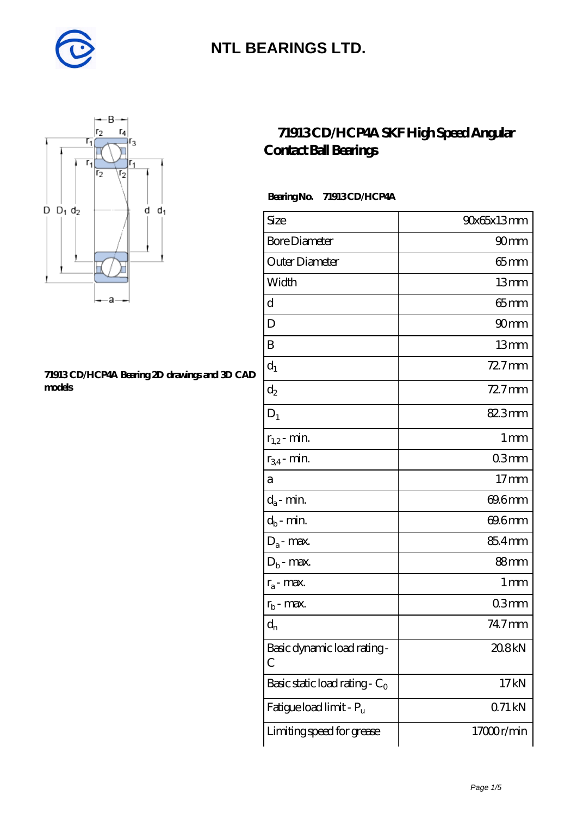



#### **[71913 CD/HCP4A Bearing 2D drawings and 3D CAD](https://m.diabetesfriends.net/pic-590803.html) [models](https://m.diabetesfriends.net/pic-590803.html)**

#### **[71913 CD/HCP4A SKF High Speed Angular](https://m.diabetesfriends.net/skf-bearing/71913-cd-hcp4a.html) [Contact Ball Bearings](https://m.diabetesfriends.net/skf-bearing/71913-cd-hcp4a.html)**

#### **Bearing No. 71913 CD/HCP4A**

| Size                             | 90x65x13mm       |
|----------------------------------|------------------|
| <b>Bore Diameter</b>             | 90mm             |
| Outer Diameter                   | $65$ mm          |
| Width                            | 13mm             |
| d                                | $65$ mm          |
| D                                | 90 <sub>mm</sub> |
| B                                | 13mm             |
| $d_1$                            | $727$ mm         |
| $\mathrm{d}_2$                   | 72.7mm           |
| $D_1$                            | 82.3mm           |
| $r_{1,2}$ - min.                 | 1 <sub>mm</sub>  |
| $r_{34}$ - min.                  | 03mm             |
| а                                | 17 <sub>mm</sub> |
| $d_a$ - min.                     | 69.6mm           |
| $d_b$ - min.                     | 69.6mm           |
| $D_a$ - max.                     | 85.4mm           |
| $D_b$ - max.                     | 88mm             |
| $r_a$ - max.                     | 1 mm             |
| $r_{b}$ - max.                   | 03mm             |
| $d_{n}$                          | 74.7mm           |
| Basic dynamic load rating-<br>С  | 20.8kN           |
| Basic static load rating - $C_0$ | 17kN             |
| Fatigue load limit - Pu          | 071kN            |
| Limiting speed for grease        | 17000r/min       |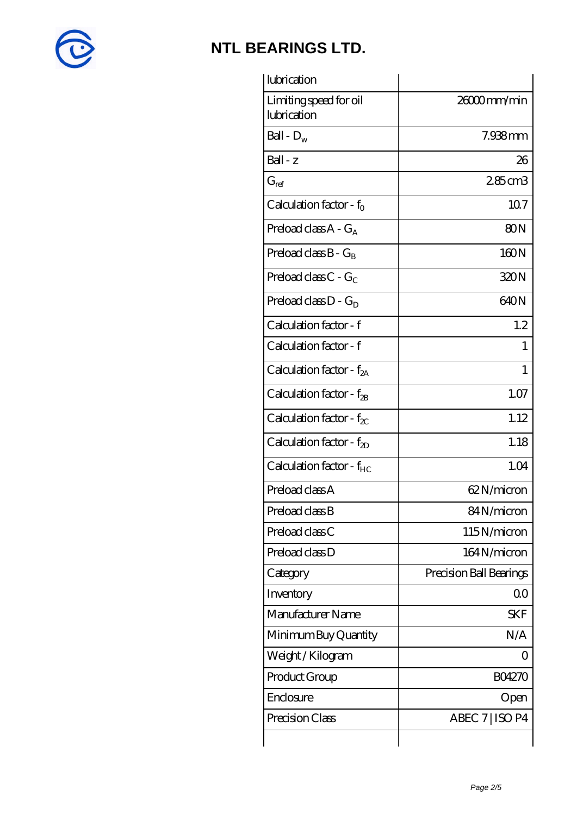

| 26000mm/min             |
|-------------------------|
| 7.938mm                 |
| 26                      |
| 285cm3                  |
| 107                     |
| 80 <sub>N</sub>         |
| 160N                    |
| 320N                    |
| 640N                    |
| 1.2                     |
|                         |
| 1                       |
| 1.07                    |
| 1.12                    |
| 1.18                    |
| 1.04                    |
| 62N/micron              |
| 84N/micron              |
| 115N/micron             |
| 164N/micron             |
| Precision Ball Bearings |
| 0 <sub>0</sub>          |
| <b>SKF</b>              |
| N/A                     |
| $\left( \right)$        |
| <b>BO4270</b>           |
| Open                    |
| ABEC 7   ISO P4         |
|                         |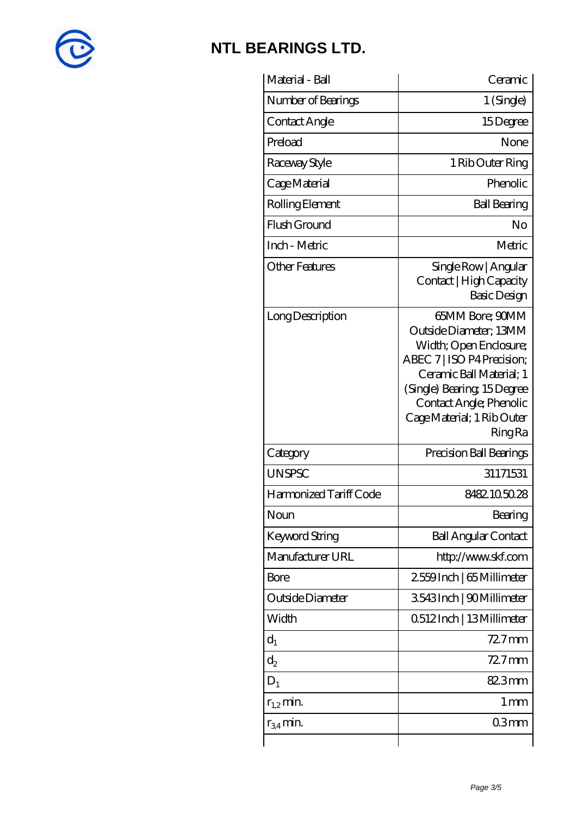

| Material - Ball        | Ceramic                                                                                                                                                                                                                               |
|------------------------|---------------------------------------------------------------------------------------------------------------------------------------------------------------------------------------------------------------------------------------|
| Number of Bearings     | $1$ (Single)                                                                                                                                                                                                                          |
| Contact Angle          | 15Degree                                                                                                                                                                                                                              |
| Preload                | None                                                                                                                                                                                                                                  |
| Raceway Style          | 1 Rib Outer Ring                                                                                                                                                                                                                      |
| Cage Material          | Phenolic                                                                                                                                                                                                                              |
| Rolling Element        | <b>Ball Bearing</b>                                                                                                                                                                                                                   |
| Flush Ground           | No                                                                                                                                                                                                                                    |
| Inch - Metric          | Metric                                                                                                                                                                                                                                |
| <b>Other Features</b>  | Single Row   Angular<br>Contact   High Capacity<br>Basic Design                                                                                                                                                                       |
| Long Description       | 65MM Bore; 90MM<br>Outside Diameter; 13MM<br>Width; Open Enclosure;<br>ABEC 7   ISO P4 Precision;<br>Ceramic Ball Material; 1<br>(Single) Bearing 15Degree<br>Contact Angle; Phenolic<br>Cage Material; 1 Rib Outer<br><b>Ring Ra</b> |
| Category               | Precision Ball Bearings                                                                                                                                                                                                               |
| <b>UNSPSC</b>          | 31171531                                                                                                                                                                                                                              |
| Harmonized Tariff Code | 8482105028                                                                                                                                                                                                                            |
| Noun                   | Bearing                                                                                                                                                                                                                               |
| <b>Keyword String</b>  | <b>Ball Angular Contact</b>                                                                                                                                                                                                           |
| Manufacturer URL       | http://www.skf.com                                                                                                                                                                                                                    |
| Bore                   | 2559Inch   65 Millimeter                                                                                                                                                                                                              |
| Outside Diameter       | 3543Inch   90Millimeter                                                                                                                                                                                                               |
| Width                  | 0512Inch   13Millimeter                                                                                                                                                                                                               |
| $d_1$                  | $727$ mm                                                                                                                                                                                                                              |
| $d_2$                  | $727$ mm                                                                                                                                                                                                                              |
| $D_1$                  | 82.3mm                                                                                                                                                                                                                                |
| $r_{1,2}$ min.         | 1 <sub>mm</sub>                                                                                                                                                                                                                       |
| $r_{34}$ min.          | 03mm                                                                                                                                                                                                                                  |
|                        |                                                                                                                                                                                                                                       |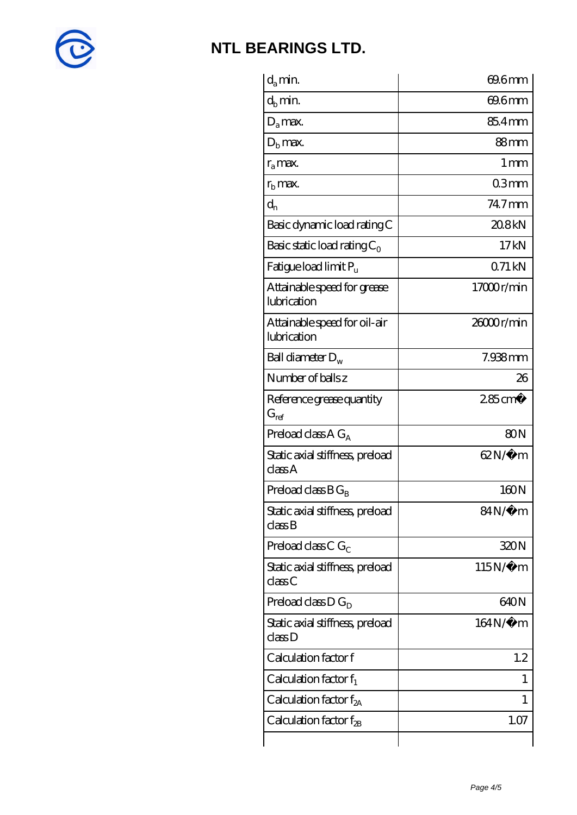

| $d_a$ min.                                  | 69.6mm             |
|---------------------------------------------|--------------------|
| $d_h$ min.                                  | 69.6mm             |
| $D_a$ max.                                  | 85.4mm             |
| $Db$ max.                                   | 88mm               |
| $r_a$ max.                                  | $1 \,\mathrm{mm}$  |
| $r_{\rm b}$ max.                            | 03mm               |
| $d_{n}$                                     | 74.7mm             |
| Basic dynamic load rating C                 | 208kN              |
| Basic static load rating $C_0$              | 17kN               |
| Fatigue load limit $P_u$                    | 071kN              |
| Attainable speed for grease<br>lubrication  | 17000r/min         |
| Attainable speed for oil-air<br>lubrication | $2000$ r/min       |
| Ball diameter $D_w$                         | $7.938$ mm         |
| Number of balls z                           | 26                 |
| Reference grease quantity<br>$G_{ref}$      | $285 \text{ cm}^3$ |
| Preload class A $G_A$                       | 80N                |
| Static axial stiffness, preload<br>classA   | $62N/\mu$ m        |
| Preload class $BG_R$                        | 160N               |
| Static axial stiffness, preload<br>classB   | $84N/\mu$ m        |
| Preload class C $G_C$                       | 320N               |
| Static axial stiffness, preload<br>classC   | $115N/\mu$ m       |
| Preload class $D G_D$                       | 640N               |
| Static axial stiffness, preload<br>classD   | 164N/μ m           |
| Calculation factor f                        | 1.2                |
| Calculation factor $f_1$                    | 1                  |
| Calculation factor $f_{2A}$                 | 1                  |
| Calculation factor $f_{\rm 2B}$             | 1.07               |
|                                             |                    |